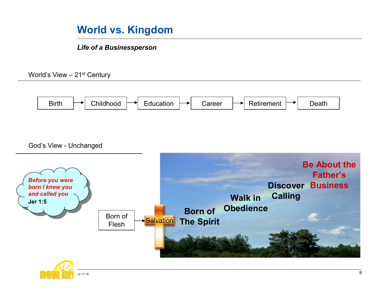## World vs. Kingdom

Life of a Businessperson

World's View – 21st Century



God's View - Unchanged

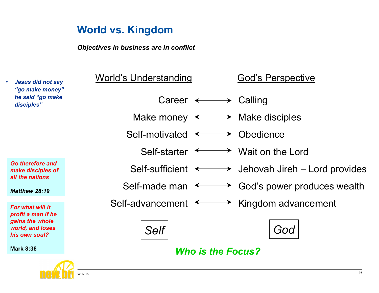## World vs. Kingdom

Objectives in business are in conflict

| <b>Jesus did not say</b><br>$\bullet$<br>"go make money"<br>he said "go make<br>disciples" | World's Understanding                                      | <b>God's Perspective</b>                                            |
|--------------------------------------------------------------------------------------------|------------------------------------------------------------|---------------------------------------------------------------------|
|                                                                                            | Career $\longleftrightarrow$ Calling                       |                                                                     |
|                                                                                            | Make money $\longleftrightarrow$ Make disciples            |                                                                     |
|                                                                                            | Self-motivated $\longleftrightarrow$ Obedience             |                                                                     |
|                                                                                            | Self-starter $\longleftrightarrow$ Wait on the Lord        |                                                                     |
| Go therefore and<br>make disciples of<br>all the nations                                   |                                                            | Self-sufficient $\longleftrightarrow$ Jehovah Jireh – Lord provides |
| <b>Matthew 28:19</b>                                                                       |                                                            | Self-made man $\longleftrightarrow$ God's power produces wealth     |
| For what will it                                                                           | Self-advancement $\longleftrightarrow$ Kingdom advancement |                                                                     |
| profit a man if he<br>gains the whole<br>world, and loses<br>his own soul?                 | <b>Self</b>                                                | God                                                                 |
| <b>Mark 8:36</b>                                                                           | <b>Who is the Focus?</b>                                   |                                                                     |

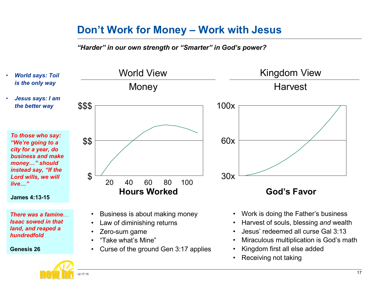## Don't Work for Money – Work with Jesus

"Harder" in our own strength or "Smarter" in God's power?

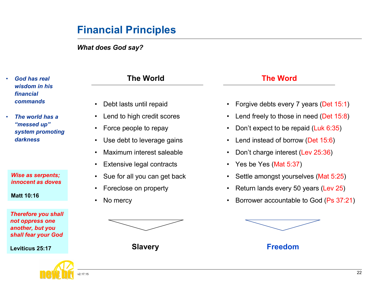## Financial Principles

What does God say?

- God has real wisdom in his financial commands
- The world has a "messed up" system promoting darkness

Wise as serpents; innocent as doves

Matt 10:16

Therefore you shall not oppress one another, but you shall fear your God

Leviticus 25:17



# • Debt lasts until repaid • Lend to high credit scores • Force people to repay • Use debt to leverage gains • Maximum interest saleable • Extensive legal contracts • Sue for all you can get back • Foreclose on property No mercy The World The Word



- Forgive debts every 7 years (Det 15:1)
- Lend freely to those in need (Det 15:8)
- Don't expect to be repaid (Luk 6:35)
- Lend instead of borrow (Det 15:6)
- Don't charge interest (Lev 25:36)
- Yes be Yes (Mat 5:37)
- Settle amongst yourselves (Mat 5:25)
- Return lands every 50 years (Lev 25)
- Borrower accountable to God (Ps 37:21)



Slavery **Example 2018** Slavery **Freedom**